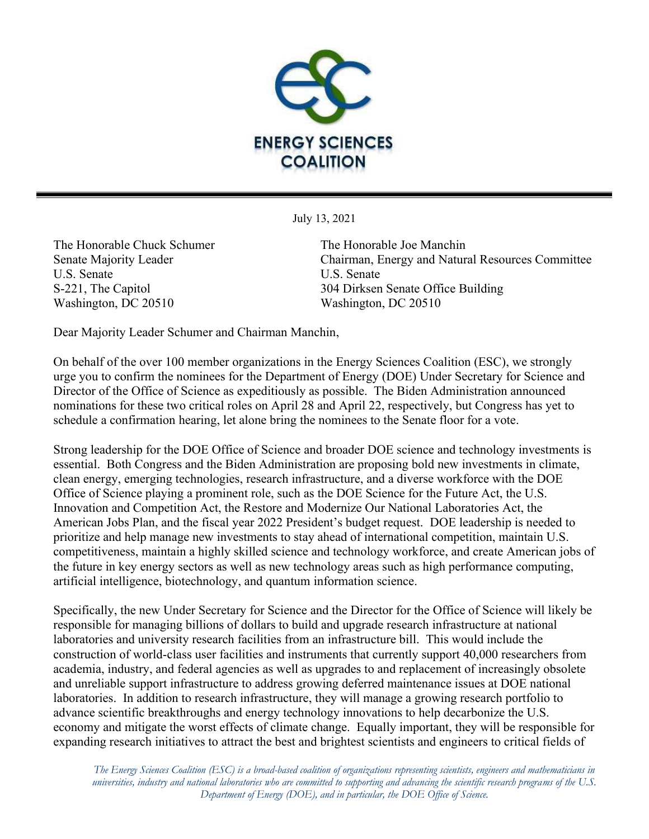

July 13, 2021

The Honorable Chuck Schumer The Honorable Joe Manchin U.S. Senate U.S. Senate Washington, DC 20510 Washington, DC 20510

Senate Majority Leader Chairman, Energy and Natural Resources Committee S-221, The Capitol 304 Dirksen Senate Office Building

Dear Majority Leader Schumer and Chairman Manchin,

On behalf of the over 100 member organizations in the Energy Sciences Coalition (ESC), we strongly urge you to confirm the nominees for the Department of Energy (DOE) Under Secretary for Science and Director of the Office of Science as expeditiously as possible. The Biden Administration announced nominations for these two critical roles on April 28 and April 22, respectively, but Congress has yet to schedule a confirmation hearing, let alone bring the nominees to the Senate floor for a vote.

Strong leadership for the DOE Office of Science and broader DOE science and technology investments is essential. Both Congress and the Biden Administration are proposing bold new investments in climate, clean energy, emerging technologies, research infrastructure, and a diverse workforce with the DOE Office of Science playing a prominent role, such as the DOE Science for the Future Act, the U.S. Innovation and Competition Act, the Restore and Modernize Our National Laboratories Act, the American Jobs Plan, and the fiscal year 2022 President's budget request. DOE leadership is needed to prioritize and help manage new investments to stay ahead of international competition, maintain U.S. competitiveness, maintain a highly skilled science and technology workforce, and create American jobs of the future in key energy sectors as well as new technology areas such as high performance computing, artificial intelligence, biotechnology, and quantum information science.

Specifically, the new Under Secretary for Science and the Director for the Office of Science will likely be responsible for managing billions of dollars to build and upgrade research infrastructure at national laboratories and university research facilities from an infrastructure bill. This would include the construction of world-class user facilities and instruments that currently support 40,000 researchers from academia, industry, and federal agencies as well as upgrades to and replacement of increasingly obsolete and unreliable support infrastructure to address growing deferred maintenance issues at DOE national laboratories. In addition to research infrastructure, they will manage a growing research portfolio to advance scientific breakthroughs and energy technology innovations to help decarbonize the U.S. economy and mitigate the worst effects of climate change. Equally important, they will be responsible for expanding research initiatives to attract the best and brightest scientists and engineers to critical fields of

*The Energy Sciences Coalition (ESC) is a broad-based coalition of organizations representing scientists, engineers and mathematicians in universities, industry and national laboratories who are committed to supporting and advancing the scientific research programs of the U.S. Department of Energy (DOE), and in particular, the DOE Office of Science.*